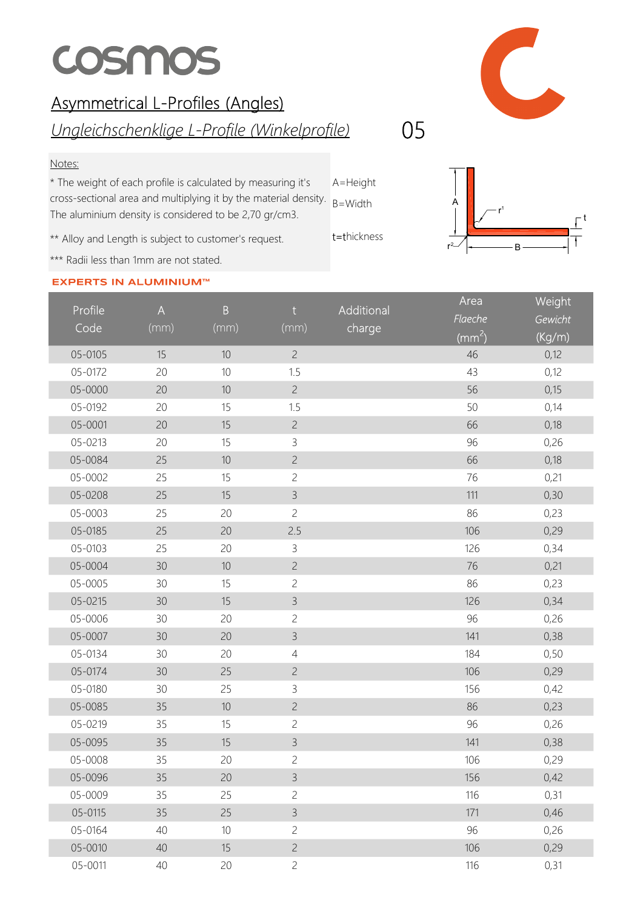## **COSMOS**

## Asymmetrical L-Profiles (Angles)

Ungleichschenklige L-Profile (Winkelprofile) 05

## Notes:

A=Height cross-sectional area and multiplying it by the material density.  $B=Width$ \* The weight of each profile is calculated by measuring it's The aluminium density is considered to be 2,70 gr/cm3.

\*\* Alloy and Length is subject to customer's request.

\*\*\* Radii less than 1mm are not stated.

## **EXPERTS IN ALUMINIUM™**





| Profile | $\overline{A}$ | $\overline{B}$ | $†$            | Additional | Area         | Weight  |
|---------|----------------|----------------|----------------|------------|--------------|---------|
| Code    | (mm)           | (mm)           | (mm)           | charge     | Flaeche      | Gewicht |
|         |                |                |                |            | $\rm (mm^2)$ | (Kg/m)  |
| 05-0105 | 15             | 10             | $\overline{c}$ |            | 46           | 0,12    |
| 05-0172 | 20             | 10             | 1.5            |            | 43           | 0,12    |
| 05-0000 | 20             | $10$           | $\overline{c}$ |            | 56           | 0,15    |
| 05-0192 | 20             | 15             | 1.5            |            | 50           | 0,14    |
| 05-0001 | 20             | 15             | $\overline{c}$ |            | 66           | 0,18    |
| 05-0213 | 20             | 15             | $\mathsf{3}$   |            | 96           | 0,26    |
| 05-0084 | 25             | 10             | $\overline{c}$ |            | 66           | 0,18    |
| 05-0002 | 25             | 15             | $\overline{c}$ |            | 76           | 0,21    |
| 05-0208 | 25             | 15             | $\mathsf{3}$   |            | 111          | 0,30    |
| 05-0003 | 25             | 20             | $\overline{c}$ |            | 86           | 0,23    |
| 05-0185 | 25             | 20             | 2.5            |            | 106          | 0,29    |
| 05-0103 | 25             | 20             | $\mathsf 3$    |            | 126          | 0,34    |
| 05-0004 | 30             | 10             | $\overline{c}$ |            | 76           | 0,21    |
| 05-0005 | 30             | 15             | $\overline{c}$ |            | 86           | 0,23    |
| 05-0215 | 30             | 15             | $\mathfrak{Z}$ |            | 126          | 0,34    |
| 05-0006 | 30             | 20             | $\overline{c}$ |            | 96           | 0,26    |
| 05-0007 | 30             | 20             | $\mathsf{3}$   |            | 141          | 0,38    |
| 05-0134 | 30             | 20             | $\overline{4}$ |            | 184          | 0,50    |
| 05-0174 | 30             | 25             | $\overline{c}$ |            | 106          | 0,29    |
| 05-0180 | 30             | 25             | $\mathsf 3$    |            | 156          | 0,42    |
| 05-0085 | 35             | 10             | $\overline{c}$ |            | 86           | 0,23    |
| 05-0219 | 35             | 15             | $\overline{c}$ |            | 96           | 0,26    |
| 05-0095 | 35             | 15             | $\mathsf{3}$   |            | 141          | 0,38    |
| 05-0008 | 35             | 20             | $\mathbf{Z}$   |            | 106          | 0,29    |
| 05-0096 | 35             | 20             | $\mathsf{3}$   |            | 156          | 0,42    |
| 05-0009 | 35             | 25             | $\overline{c}$ |            | 116          | 0,31    |
| 05-0115 | 35             | 25             | $\mathsf{3}$   |            | 171          | 0,46    |
| 05-0164 | 40             | 10             | $\overline{c}$ |            | 96           | 0,26    |
| 05-0010 | 40             | 15             | $\overline{c}$ |            | 106          | 0,29    |
| 05-0011 | 40             | 20             | $\overline{c}$ |            | 116          | 0,31    |

t=thickness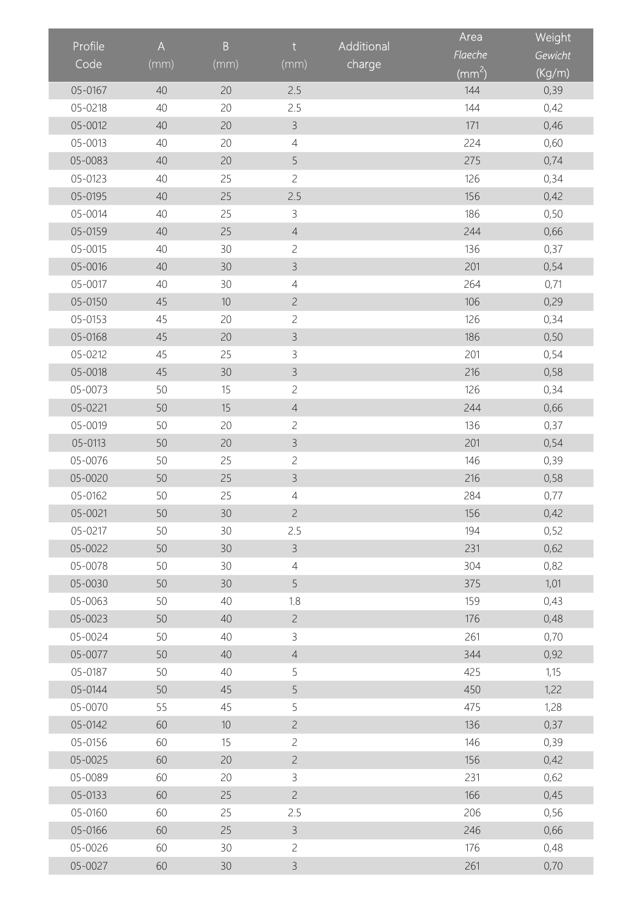| Profile |                           |      | $\mathsf{t}$   |            | Area                | Weight  |
|---------|---------------------------|------|----------------|------------|---------------------|---------|
|         | $\boldsymbol{\mathsf{A}}$ | B    |                | Additional | Flaeche             | Gewicht |
| Code    | (mm)                      | (mm) | (mm)           | charge     | $\overline{(mm^2)}$ | (Kg/m)  |
| 05-0167 | 40                        | 20   | 2.5            |            | 144                 | 0,39    |
| 05-0218 | 40                        | 20   | 2.5            |            | 144                 | 0,42    |
| 05-0012 | 40                        | 20   | $\mathsf{B}$   |            | 171                 | 0,46    |
| 05-0013 | 40                        | 20   | $\overline{4}$ |            | 224                 | 0,60    |
| 05-0083 | 40                        | 20   | 5              |            | 275                 | 0,74    |
| 05-0123 | 40                        | 25   | $\overline{c}$ |            | 126                 | 0,34    |
| 05-0195 | 40                        | 25   | 2.5            |            | 156                 | 0,42    |
| 05-0014 | 40                        | 25   | $\mathsf{3}$   |            | 186                 | 0,50    |
| 05-0159 | 40                        | 25   | $\overline{4}$ |            | 244                 | 0,66    |
| 05-0015 | 40                        | 30   | $\overline{c}$ |            | 136                 | 0,37    |
| 05-0016 | 40                        | 30   | $\mathsf{3}$   |            | 201                 | 0,54    |
| 05-0017 | 40                        | 30   | $\overline{4}$ |            | 264                 | 0,71    |
| 05-0150 | 45                        | 10   | $\overline{c}$ |            | 106                 | 0,29    |
| 05-0153 | 45                        | 20   | $\overline{c}$ |            | 126                 | 0,34    |
| 05-0168 | 45                        | 20   | $\mathsf{3}$   |            | 186                 | 0,50    |
| 05-0212 | 45                        | 25   | 3              |            | 201                 | 0,54    |
| 05-0018 | 45                        | 30   | $\mathsf{3}$   |            | 216                 | 0,58    |
| 05-0073 | 50                        | 15   | $\overline{c}$ |            | 126                 | 0,34    |
| 05-0221 | 50                        | 15   | $\overline{4}$ |            | 244                 | 0,66    |
| 05-0019 | 50                        | 20   | $\overline{c}$ |            | 136                 | 0,37    |
| 05-0113 | 50                        | 20   | $\mathsf{B}$   |            | 201                 | 0,54    |
| 05-0076 | 50                        | 25   | $\overline{c}$ |            | 146                 | 0,39    |
| 05-0020 | 50                        | 25   | $\mathsf{3}$   |            | 216                 | 0,58    |
| 05-0162 | 50                        | 25   | $\overline{4}$ |            | 284                 | 0,77    |
| 05-0021 | 50                        | 30   | $\overline{c}$ |            | 156                 | 0,42    |
| 05-0217 | 50                        | 30   | 2.5            |            | 194                 | 0,52    |
| 05-0022 | 50                        | 30   | $\mathsf{3}$   |            | 231                 | 0,62    |
| 05-0078 | 50                        | 30   | $\overline{4}$ |            | 304                 | 0,82    |
| 05-0030 | 50                        | 30   | 5              |            | 375                 | 1,01    |
| 05-0063 | 50                        | 40   | 1.8            |            | 159                 | 0,43    |
| 05-0023 | 50                        | 40   | $\overline{c}$ |            | 176                 | 0,48    |
| 05-0024 | 50                        | 40   | $\mathsf 3$    |            | 261                 | 0,70    |
| 05-0077 | 50                        | 40   | $\overline{4}$ |            | 344                 | 0,92    |
| 05-0187 | 50                        | 40   | 5              |            | 425                 | 1,15    |
| 05-0144 | 50                        | 45   | 5              |            | 450                 | 1,22    |
| 05-0070 | 55                        | 45   | 5              |            | 475                 | 1,28    |
| 05-0142 | 60                        | $10$ | $\overline{c}$ |            | 136                 | 0,37    |
| 05-0156 | 60                        | 15   | $\overline{c}$ |            | 146                 | 0,39    |
| 05-0025 | 60                        | 20   | $\overline{c}$ |            | 156                 | 0,42    |
| 05-0089 | 60                        | 20   | $\mathsf{3}$   |            | 231                 | 0,62    |
| 05-0133 | 60                        | 25   | $\overline{c}$ |            | 166                 | 0,45    |
| 05-0160 | 60                        | 25   | 2.5            |            | 206                 | 0,56    |
| 05-0166 | 60                        | 25   | $\mathsf{3}$   |            | 246                 | 0,66    |
| 05-0026 | 60                        | 30   | $\overline{c}$ |            | 176                 | 0,48    |
| 05-0027 | 60                        | 30   | $\mathsf{3}$   |            | 261                 | 0,70    |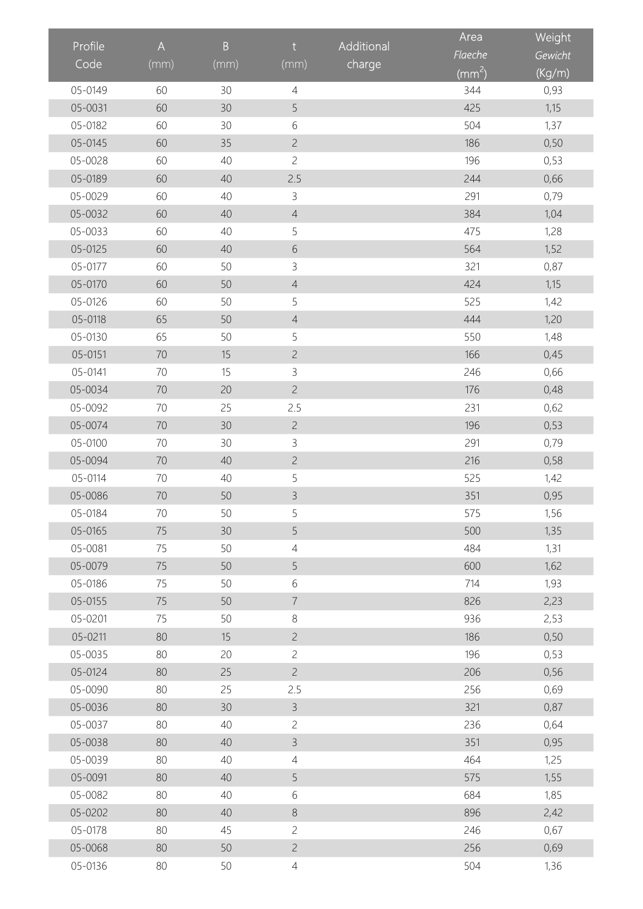|         |                           | $\overline{B}$ | $\mathsf{t}$   | Additional | Area                    | Weight  |
|---------|---------------------------|----------------|----------------|------------|-------------------------|---------|
| Profile | $\boldsymbol{\mathsf{A}}$ |                |                |            | Flaeche                 | Gewicht |
| Code    | (mm)                      | (mm)           | (mm)           | charge     | $\overline{\rm (mm^2)}$ | (Kg/m)  |
| 05-0149 | 60                        | 30             | $\overline{4}$ |            | 344                     | 0,93    |
| 05-0031 | 60                        | 30             | 5              |            | 425                     | 1,15    |
| 05-0182 | 60                        | 30             | $\,$ $\,$ $\,$ |            | 504                     | 1,37    |
| 05-0145 | 60                        | 35             | $\overline{c}$ |            | 186                     | 0,50    |
| 05-0028 | 60                        | 40             | $\overline{c}$ |            | 196                     | 0,53    |
| 05-0189 | 60                        | 40             | 2.5            |            | 244                     | 0,66    |
| 05-0029 | 60                        | 40             | $\mathsf{3}$   |            | 291                     | 0,79    |
| 05-0032 | 60                        | 40             | $\overline{4}$ |            | 384                     | 1,04    |
| 05-0033 | 60                        | 40             | 5              |            | 475                     | 1,28    |
| 05-0125 | 60                        | 40             | $\sqrt{6}$     |            | 564                     | 1,52    |
| 05-0177 | 60                        | 50             | $\mathsf{3}$   |            | 321                     | 0,87    |
| 05-0170 | 60                        | 50             | $\overline{4}$ |            | 424                     | 1,15    |
| 05-0126 | 60                        | 50             | 5              |            | 525                     | 1,42    |
| 05-0118 | 65                        | 50             | $\overline{4}$ |            | 444                     | 1,20    |
| 05-0130 | 65                        | 50             | 5              |            | 550                     | 1,48    |
| 05-0151 | 70                        | 15             | $\overline{c}$ |            | 166                     | 0,45    |
| 05-0141 | 70                        | 15             | $\mathsf{3}$   |            | 246                     | 0,66    |
| 05-0034 | 70                        | 20             | $\overline{c}$ |            | 176                     | 0,48    |
| 05-0092 | 70                        | 25             | 2.5            |            | 231                     | 0,62    |
| 05-0074 | 70                        | 30             | $\overline{c}$ |            | 196                     | 0,53    |
| 05-0100 | 70                        | 30             | $\mathsf{3}$   |            | 291                     | 0,79    |
| 05-0094 | 70                        | 40             | $\overline{c}$ |            | 216                     | 0,58    |
| 05-0114 | 70                        | 40             | 5              |            | 525                     | 1,42    |
| 05-0086 | 70                        | 50             | $\mathfrak{Z}$ |            | 351                     | 0,95    |
| 05-0184 | $70\,$                    | 50             | 5              |            | 575                     | 1,56    |
| 05-0165 | 75                        | 30             | 5              |            | 500                     | 1,35    |
| 05-0081 | 75                        | 50             | $\overline{4}$ |            | 484                     | 1,31    |
| 05-0079 | 75                        | 50             | 5              |            | 600                     | 1,62    |
| 05-0186 | 75                        | 50             | $\,$ $\,$ $\,$ |            | 714                     | 1,93    |
| 05-0155 | 75                        | 50             | $\overline{7}$ |            | 826                     | 2,23    |
| 05-0201 | 75                        | 50             | $8\,$          |            | 936                     | 2,53    |
| 05-0211 | 80                        | 15             | $\overline{c}$ |            | 186                     | 0,50    |
| 05-0035 | 80                        | 20             | $\overline{c}$ |            | 196                     | 0,53    |
| 05-0124 | 80                        | 25             | $\overline{c}$ |            | 206                     | 0,56    |
| 05-0090 | 80                        | 25             | 2.5            |            | 256                     | 0,69    |
| 05-0036 | 80                        | 30             | $\mathsf{3}$   |            | 321                     | 0,87    |
| 05-0037 | 80                        | 40             | $\overline{c}$ |            | 236                     | 0,64    |
| 05-0038 | 80                        | 40             | $\mathsf{3}$   |            | 351                     | 0,95    |
| 05-0039 | 80                        | 40             | $\overline{4}$ |            | 464                     | 1,25    |
| 05-0091 | 80                        | 40             | 5              |            | 575                     | 1,55    |
| 05-0082 | 80                        | 40             | 6              |            | 684                     | 1,85    |
| 05-0202 | 80                        | 40             | $\,8\,$        |            | 896                     | 2,42    |
| 05-0178 | 80                        | 45             | $\overline{c}$ |            | 246                     | 0,67    |
| 05-0068 | 80                        | 50             | $\overline{c}$ |            | 256                     | 0,69    |
| 05-0136 | 80                        | 50             | $\overline{4}$ |            | 504                     | 1,36    |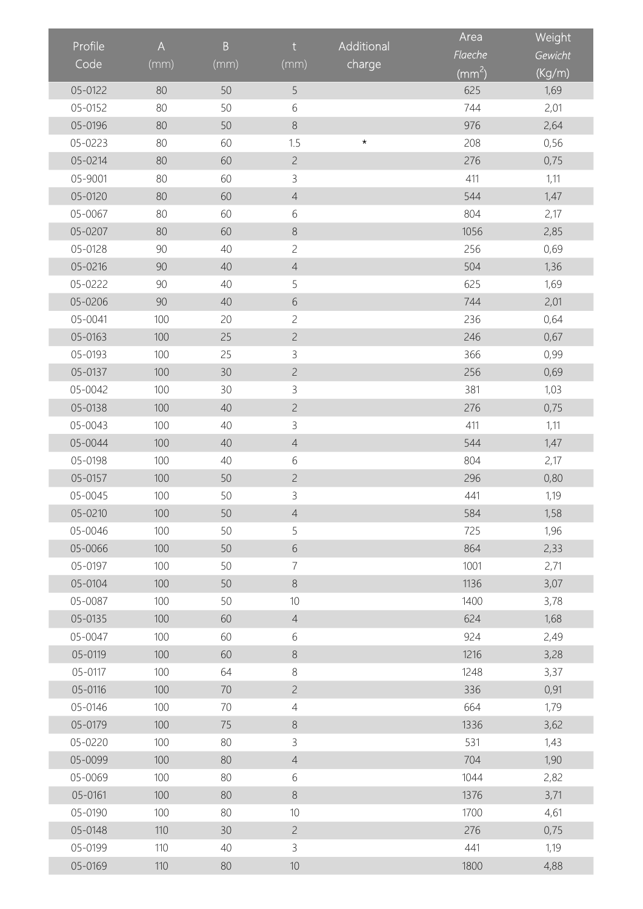|         |                           |         |                |            | Area                       | Weight  |
|---------|---------------------------|---------|----------------|------------|----------------------------|---------|
| Profile | $\boldsymbol{\mathsf{A}}$ | $\sf B$ | $\mathsf{t}$   | Additional | Flaeche                    | Gewicht |
| Code    | (mm)                      | (mm)    | (mm)           | charge     | $\overline{(\text{mm}^2)}$ | (Kg/m)  |
| 05-0122 | 80                        | 50      | 5              |            | 625                        | 1,69    |
| 05-0152 | 80                        | 50      | $\sqrt{6}$     |            | 744                        | 2,01    |
| 05-0196 | 80                        | 50      | $\,8\,$        |            | 976                        | 2,64    |
| 05-0223 | 80                        | 60      | 1.5            | $\star$    | 208                        | 0,56    |
| 05-0214 | 80                        | 60      | $\overline{c}$ |            | 276                        | 0,75    |
| 05-9001 | 80                        | 60      | $\mathcal{S}$  |            | 411                        | 1,11    |
| 05-0120 | 80                        | 60      | $\overline{4}$ |            | 544                        | 1,47    |
| 05-0067 | 80                        | 60      | $6\,$          |            | 804                        | 2,17    |
| 05-0207 | 80                        | 60      | $\,8\,$        |            | 1056                       | 2,85    |
| 05-0128 | 90                        | 40      | $\overline{c}$ |            | 256                        | 0,69    |
| 05-0216 | 90                        | 40      | $\overline{4}$ |            | 504                        | 1,36    |
| 05-0222 | 90                        | 40      | 5              |            | 625                        | 1,69    |
| 05-0206 | 90                        | 40      | $\sqrt{6}$     |            | 744                        | 2,01    |
| 05-0041 | 100                       | 20      | $\overline{c}$ |            | 236                        | 0,64    |
| 05-0163 | 100                       | 25      | $\overline{c}$ |            | 246                        | 0,67    |
| 05-0193 | 100                       | 25      | $\mathsf 3$    |            | 366                        | 0,99    |
| 05-0137 | 100                       | 30      | $\overline{c}$ |            | 256                        | 0,69    |
| 05-0042 | 100                       | 30      | $\mathsf{3}$   |            | 381                        | 1,03    |
| 05-0138 | 100                       | 40      | $\overline{c}$ |            | 276                        | 0,75    |
| 05-0043 | 100                       | 40      | $\mathsf{3}$   |            | 411                        | 1,11    |
| 05-0044 | 100                       | 40      | $\overline{4}$ |            | 544                        | 1,47    |
| 05-0198 | 100                       | 40      | 6              |            | 804                        | 2,17    |
| 05-0157 | 100                       | 50      | $\overline{c}$ |            | 296                        | 0,80    |
| 05-0045 | 100                       | 50      | $\mathsf 3$    |            | 441                        | 1,19    |
| 05-0210 | 100                       | 50      | $\overline{4}$ |            | 584                        | 1,58    |
| 05-0046 | 100                       | 50      | 5              |            | 725                        | 1,96    |
| 05-0066 | 100                       | 50      | $\sqrt{6}$     |            | 864                        | 2,33    |
| 05-0197 | 100                       | 50      | $\overline{7}$ |            | 1001                       | 2,71    |
| 05-0104 | 100                       | 50      | $\,8\,$        |            | 1136                       | 3,07    |
| 05-0087 | 100                       | 50      | $10$           |            | 1400                       | 3,78    |
| 05-0135 | 100                       | 60      | $\overline{4}$ |            | 624                        | 1,68    |
| 05-0047 | 100                       | 60      | 6              |            | 924                        | 2,49    |
| 05-0119 | 100                       | 60      | $\,8\,$        |            | 1216                       | 3,28    |
| 05-0117 | 100                       | 64      | $\,8\,$        |            | 1248                       | 3,37    |
| 05-0116 | 100                       | 70      | $\overline{c}$ |            | 336                        | 0,91    |
| 05-0146 | 100                       | 70      | $\overline{4}$ |            | 664                        | 1,79    |
| 05-0179 | 100                       | 75      | $\,8\,$        |            | 1336                       | 3,62    |
| 05-0220 | 100                       | 80      | 3              |            | 531                        | 1,43    |
| 05-0099 | 100                       | 80      | $\overline{4}$ |            | 704                        | 1,90    |
| 05-0069 | 100                       | 80      | 6              |            | 1044                       | 2,82    |
| 05-0161 | 100                       | 80      | $\,8\,$        |            | 1376                       | 3,71    |
| 05-0190 | 100                       | 80      | 10             |            | 1700                       | 4,61    |
| 05-0148 | 110                       | 30      | $\overline{c}$ |            | 276                        | 0,75    |
| 05-0199 | 110                       | 40      | $\mathsf{3}$   |            | 441                        | 1,19    |
| 05-0169 | 110                       | 80      | $10$           |            | 1800                       | 4,88    |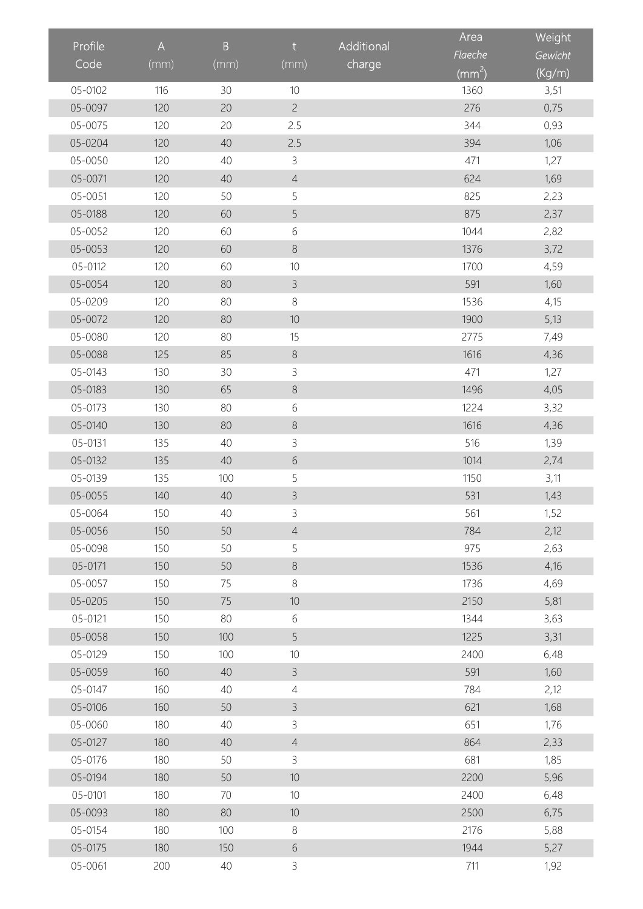| Profile |                                                                       | $\sf{B}$ | $\mathsf{t}$   | Additional | Area                       | Weight  |
|---------|-----------------------------------------------------------------------|----------|----------------|------------|----------------------------|---------|
| Code    | $\mathsf{A}% _{\mathsf{A}}^{\prime}=\mathsf{A}_{\mathsf{A}}^{\prime}$ |          |                |            | Flaeche                    | Gewicht |
|         | (mm)                                                                  | (mm)     | (mm)           | charge     | $\overline{(\text{mm}^2)}$ | (Kg/m)  |
| 05-0102 | 116                                                                   | 30       | $10$           |            | 1360                       | 3,51    |
| 05-0097 | 120                                                                   | 20       | $\overline{c}$ |            | 276                        | 0,75    |
| 05-0075 | 120                                                                   | 20       | 2.5            |            | 344                        | 0,93    |
| 05-0204 | 120                                                                   | 40       | 2.5            |            | 394                        | 1,06    |
| 05-0050 | 120                                                                   | 40       | $\mathsf 3$    |            | 471                        | 1,27    |
| 05-0071 | 120                                                                   | 40       | $\overline{4}$ |            | 624                        | 1,69    |
| 05-0051 | 120                                                                   | 50       | 5              |            | 825                        | 2,23    |
| 05-0188 | 120                                                                   | 60       | 5              |            | 875                        | 2,37    |
| 05-0052 | 120                                                                   | 60       | $\sqrt{6}$     |            | 1044                       | 2,82    |
| 05-0053 | 120                                                                   | 60       | $\,8\,$        |            | 1376                       | 3,72    |
| 05-0112 | 120                                                                   | 60       | $10$           |            | 1700                       | 4,59    |
| 05-0054 | 120                                                                   | 80       | $\mathsf{3}$   |            | 591                        | 1,60    |
| 05-0209 | 120                                                                   | 80       | $\,8\,$        |            | 1536                       | 4,15    |
| 05-0072 | 120                                                                   | 80       | $10$           |            | 1900                       | 5,13    |
| 05-0080 | 120                                                                   | 80       | 15             |            | 2775                       | 7,49    |
| 05-0088 | 125                                                                   | 85       | $\,8\,$        |            | 1616                       | 4,36    |
| 05-0143 | 130                                                                   | 30       | $\mathcal{S}$  |            | 471                        | 1,27    |
| 05-0183 | 130                                                                   | 65       | $\,8\,$        |            | 1496                       | 4,05    |
| 05-0173 | 130                                                                   | 80       | $\sqrt{6}$     |            | 1224                       | 3,32    |
| 05-0140 | 130                                                                   | 80       | $\,8\,$        |            | 1616                       | 4,36    |
| 05-0131 | 135                                                                   | 40       | $\mathsf 3$    |            | 516                        | 1,39    |
| 05-0132 | 135                                                                   | 40       | $\sqrt{6}$     |            | 1014                       | 2,74    |
| 05-0139 | 135                                                                   | 100      | 5              |            | 1150                       | 3,11    |
| 05-0055 | 140                                                                   | 40       | $\mathfrak{Z}$ |            | 531                        | 1,43    |
| 05-0064 | 150                                                                   | 40       | 3              |            | 561                        | 1,52    |
| 05-0056 | 150                                                                   | 50       | $\overline{4}$ |            | 784                        | 2,12    |
| 05-0098 | 150                                                                   | 50       | 5              |            | 975                        | 2,63    |
| 05-0171 | 150                                                                   | 50       | $\,8\,$        |            | 1536                       | 4,16    |
| 05-0057 | 150                                                                   | 75       | $\,8\,$        |            | 1736                       | 4,69    |
| 05-0205 | 150                                                                   | 75       | $10$           |            | 2150                       | 5,81    |
| 05-0121 | 150                                                                   | 80       | 6              |            | 1344                       | 3,63    |
| 05-0058 | 150                                                                   | 100      | 5              |            | 1225                       | 3,31    |
| 05-0129 | 150                                                                   | 100      | 10             |            | 2400                       | 6,48    |
| 05-0059 | 160                                                                   | 40       | $\mathsf{3}$   |            | 591                        | 1,60    |
| 05-0147 | 160                                                                   | 40       | $\overline{4}$ |            | 784                        | 2,12    |
| 05-0106 | 160                                                                   | 50       | $\mathsf{3}$   |            | 621                        | 1,68    |
| 05-0060 | 180                                                                   | 40       | 3              |            | 651                        | 1,76    |
| 05-0127 | 180                                                                   | 40       | $\overline{4}$ |            | 864                        | 2,33    |
| 05-0176 | 180                                                                   | 50       | $\mathsf{3}$   |            | 681                        | 1,85    |
| 05-0194 | 180                                                                   | 50       | 10             |            | 2200                       | 5,96    |
| 05-0101 | 180                                                                   | 70       | 10             |            | 2400                       | 6,48    |
| 05-0093 | 180                                                                   | 80       | $10$           |            | 2500                       | 6,75    |
| 05-0154 | 180                                                                   | 100      | $\,8\,$        |            | 2176                       | 5,88    |
| 05-0175 | 180                                                                   | 150      | $\sqrt{6}$     |            | 1944                       | 5,27    |
| 05-0061 | 200                                                                   | 40       | $\mathsf{3}$   |            | 711                        | 1,92    |